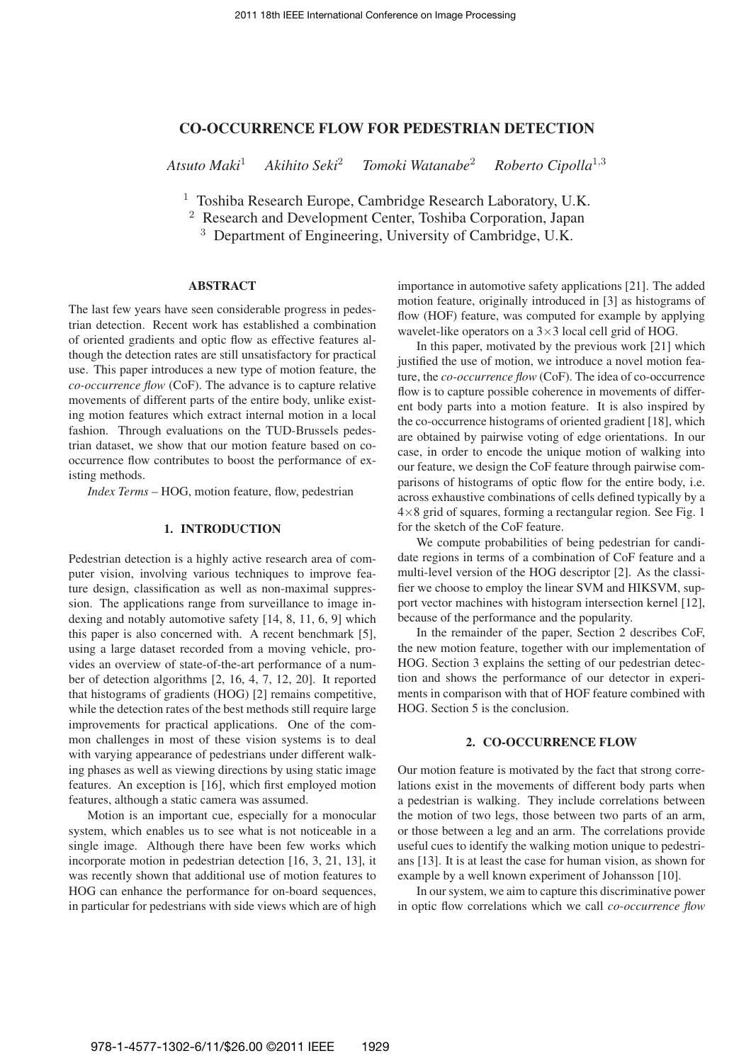# CO-OCCURRENCE FLOW FOR PEDESTRIAN DETECTION

*Atsuto Maki*<sup>1</sup> *Akihito Seki*<sup>2</sup> *Tomoki Watanabe*<sup>2</sup> *Roberto Cipolla*<sup>1</sup>,<sup>3</sup>

<sup>1</sup> Toshiba Research Europe, Cambridge Research Laboratory, U.K.

<sup>2</sup> Research and Development Center, Toshiba Corporation, Japan

<sup>3</sup> Department of Engineering, University of Cambridge, U.K.

## ABSTRACT

The last few years have seen considerable progress in pedestrian detection. Recent work has established a combination of oriented gradients and optic flow as effective features although the detection rates are still unsatisfactory for practical use. This paper introduces a new type of motion feature, the *co-occurrence flow* (CoF). The advance is to capture relative movements of different parts of the entire body, unlike existing motion features which extract internal motion in a local fashion. Through evaluations on the TUD-Brussels pedestrian dataset, we show that our motion feature based on cooccurrence flow contributes to boost the performance of existing methods.

*Index Terms* – HOG, motion feature, flow, pedestrian

## 1. INTRODUCTION

Pedestrian detection is a highly active research area of computer vision, involving various techniques to improve feature design, classification as well as non-maximal suppression. The applications range from surveillance to image indexing and notably automotive safety [14, 8, 11, 6, 9] which this paper is also concerned with. A recent benchmark [5], using a large dataset recorded from a moving vehicle, provides an overview of state-of-the-art performance of a number of detection algorithms [2, 16, 4, 7, 12, 20]. It reported that histograms of gradients (HOG) [2] remains competitive, while the detection rates of the best methods still require large improvements for practical applications. One of the common challenges in most of these vision systems is to deal with varying appearance of pedestrians under different walking phases as well as viewing directions by using static image features. An exception is [16], which first employed motion features, although a static camera was assumed.

Motion is an important cue, especially for a monocular system, which enables us to see what is not noticeable in a single image. Although there have been few works which incorporate motion in pedestrian detection [16, 3, 21, 13], it was recently shown that additional use of motion features to HOG can enhance the performance for on-board sequences, in particular for pedestrians with side views which are of high importance in automotive safety applications [21]. The added motion feature, originally introduced in [3] as histograms of flow (HOF) feature, was computed for example by applying wavelet-like operators on a  $3\times3$  local cell grid of HOG.

In this paper, motivated by the previous work [21] which justified the use of motion, we introduce a novel motion feature, the *co-occurrence flow* (CoF). The idea of co-occurrence flow is to capture possible coherence in movements of different body parts into a motion feature. It is also inspired by the co-occurrence histograms of oriented gradient [18], which are obtained by pairwise voting of edge orientations. In our case, in order to encode the unique motion of walking into our feature, we design the CoF feature through pairwise comparisons of histograms of optic flow for the entire body, i.e. across exhaustive combinations of cells defined typically by a  $4\times 8$  grid of squares, forming a rectangular region. See Fig. 1 for the sketch of the CoF feature.

We compute probabilities of being pedestrian for candidate regions in terms of a combination of CoF feature and a multi-level version of the HOG descriptor [2]. As the classifier we choose to employ the linear SVM and HIKSVM, support vector machines with histogram intersection kernel [12], because of the performance and the popularity.

In the remainder of the paper, Section 2 describes CoF, the new motion feature, together with our implementation of HOG. Section 3 explains the setting of our pedestrian detection and shows the performance of our detector in experiments in comparison with that of HOF feature combined with HOG. Section 5 is the conclusion.

## 2. CO-OCCURRENCE FLOW

Our motion feature is motivated by the fact that strong correlations exist in the movements of different body parts when a pedestrian is walking. They include correlations between the motion of two legs, those between two parts of an arm, or those between a leg and an arm. The correlations provide useful cues to identify the walking motion unique to pedestrians [13]. It is at least the case for human vision, as shown for example by a well known experiment of Johansson [10].

In our system, we aim to capture this discriminative power in optic flow correlations which we call *co-occurrence flow*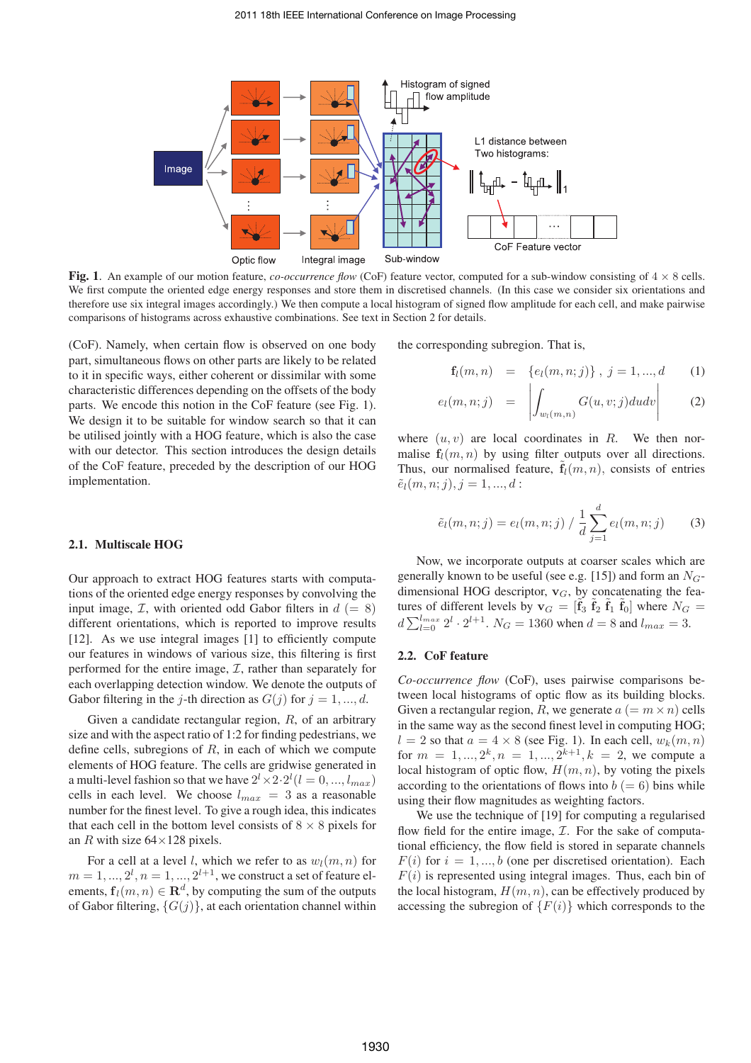

Fig. 1. An example of our motion feature, *co-occurrence flow* (CoF) feature vector, computed for a sub-window consisting of  $4 \times 8$  cells. We first compute the oriented edge energy responses and store them in discretised channels. (In this case we consider six orientations and therefore use six integral images accordingly.) We then compute a local histogram of signed flow amplitude for each cell, and make pairwise comparisons of histograms across exhaustive combinations. See text in Section 2 for details.

(CoF). Namely, when certain flow is observed on one body part, simultaneous flows on other parts are likely to be related to it in specific ways, either coherent or dissimilar with some characteristic differences depending on the offsets of the body parts. We encode this notion in the CoF feature (see Fig. 1). We design it to be suitable for window search so that it can be utilised jointly with a HOG feature, which is also the case with our detector. This section introduces the design details of the CoF feature, preceded by the description of our HOG implementation.

## 2.1. Multiscale HOG

Our approach to extract HOG features starts with computations of the oriented edge energy responses by convolving the input image,  $\mathcal{I}$ , with oriented odd Gabor filters in  $d (= 8)$ different orientations, which is reported to improve results [12]. As we use integral images [1] to efficiently compute our features in windows of various size, this filtering is first performed for the entire image,  $I$ , rather than separately for each overlapping detection window. We denote the outputs of Gabor filtering in the j-th direction as  $G(j)$  for  $j = 1, ..., d$ .

Given a candidate rectangular region,  $R$ , of an arbitrary size and with the aspect ratio of 1:2 for finding pedestrians, we define cells, subregions of  $R$ , in each of which we compute elements of HOG feature. The cells are gridwise generated in a multi-level fashion so that we have  $2^l \times 2 \cdot 2^l (l = 0, ..., l_{max})$ cells in each level. We choose  $l_{max} = 3$  as a reasonable number for the finest level. To give a rough idea, this indicates that each cell in the bottom level consists of  $8 \times 8$  pixels for an R with size  $64 \times 128$  pixels.

For a cell at a level l, which we refer to as  $w_l(m, n)$  for  $m=1,...,2^l,n=1,...,2^{l+1},$  we construct a set of feature elements,  $f_l(m, n) \in \mathbb{R}^d$ , by computing the sum of the outputs of Gabor filtering,  $\{G(j)\}\$ , at each orientation channel within the corresponding subregion. That is,

$$
\mathbf{f}_l(m,n) = \{e_l(m,n;j)\}, j = 1,...,d \qquad (1)
$$

$$
e_l(m,n;j) = \left| \int_{w_l(m,n)} G(u,v;j) du dv \right| \qquad (2)
$$

where  $(u, v)$  are local coordinates in R. We then normalise  $f_l(m, n)$  by using filter outputs over all directions. Thus, our normalised feature,  $f_l(m, n)$ , consists of entries  $\tilde{e}_l(m, n; j), j = 1, ..., d$ :

$$
\tilde{e}_l(m, n; j) = e_l(m, n; j) / \frac{1}{d} \sum_{j=1}^d e_l(m, n; j)
$$
 (3)

Now, we incorporate outputs at coarser scales which are generally known to be useful (see e.g. [15]) and form an  $N<sub>G</sub>$ dimensional HOG descriptor,  $v_G$ , by concatenating the features of different levels by  $\mathbf{v}_G = [\tilde{\mathbf{f}}_3 \ \tilde{\mathbf{f}}_2 \ \tilde{\mathbf{f}}_1 \ \tilde{\mathbf{f}}_0]$  where  $N_G =$  $d\sum_{l=0}^{l_{max}} 2^l \cdot 2^{l+1}$ .  $N_G = 1360$  when  $d = 8$  and  $l_{max} = 3$ .

#### 2.2. CoF feature

*Co-occurrence flow* (CoF), uses pairwise comparisons between local histograms of optic flow as its building blocks. Given a rectangular region, R, we generate  $a (= m \times n)$  cells in the same way as the second finest level in computing HOG;  $l = 2$  so that  $a = 4 \times 8$  (see Fig. 1). In each cell,  $w_k(m, n)$ for  $m = 1, ..., 2^k, n = 1, ..., 2^{k+1}, k = 2$ , we compute a local histogram of optic flow,  $H(m, n)$ , by voting the pixels according to the orientations of flows into  $b (= 6)$  bins while using their flow magnitudes as weighting factors.

We use the technique of [19] for computing a regularised flow field for the entire image,  $I$ . For the sake of computational efficiency, the flow field is stored in separate channels  $F(i)$  for  $i = 1, ..., b$  (one per discretised orientation). Each  $F(i)$  is represented using integral images. Thus, each bin of the local histogram,  $H(m, n)$ , can be effectively produced by accessing the subregion of  $\{F(i)\}\$  which corresponds to the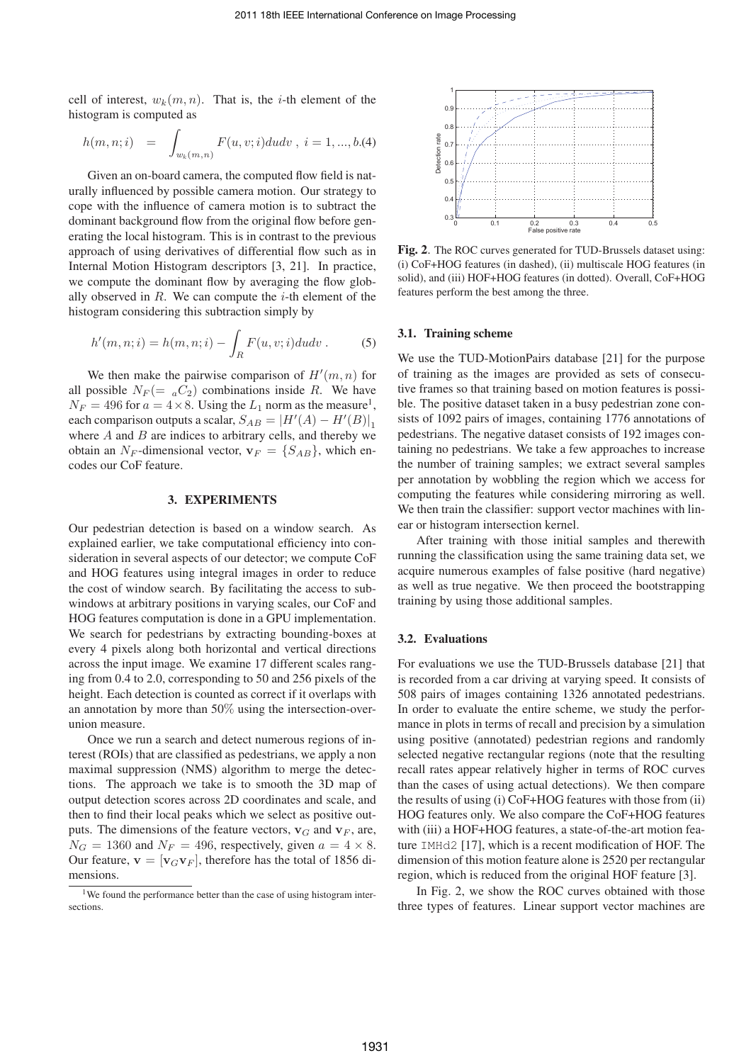cell of interest,  $w_k(m, n)$ . That is, the *i*-th element of the histogram is computed as

$$
h(m, n; i) = \int_{w_k(m, n)} F(u, v; i) du dv, i = 1, ..., b. (4)
$$

Given an on-board camera, the computed flow field is naturally influenced by possible camera motion. Our strategy to cope with the influence of camera motion is to subtract the dominant background flow from the original flow before generating the local histogram. This is in contrast to the previous approach of using derivatives of differential flow such as in Internal Motion Histogram descriptors [3, 21]. In practice, we compute the dominant flow by averaging the flow globally observed in  $R$ . We can compute the  $i$ -th element of the histogram considering this subtraction simply by

$$
h'(m, n; i) = h(m, n; i) - \int_R F(u, v; i) du dv.
$$
 (5)

We then make the pairwise comparison of  $H'(m, n)$  for all possible  $N_F = aC_2$  combinations inside R. We have  $N_F = 496$  for  $a = 4 \times 8$ . Using the  $L_1$  norm as the measure<sup>1</sup>, each comparison outputs a scalar,  $S_{AB} = |H'(A) - H'(B)|_1$ where  $A$  and  $B$  are indices to arbitrary cells, and thereby we obtain an  $N_F$ -dimensional vector,  $\mathbf{v}_F = \{S_{AB}\}\$ , which encodes our CoF feature.

### 3. EXPERIMENTS

Our pedestrian detection is based on a window search. As explained earlier, we take computational efficiency into consideration in several aspects of our detector; we compute CoF and HOG features using integral images in order to reduce the cost of window search. By facilitating the access to subwindows at arbitrary positions in varying scales, our CoF and HOG features computation is done in a GPU implementation. We search for pedestrians by extracting bounding-boxes at every 4 pixels along both horizontal and vertical directions across the input image. We examine 17 different scales ranging from 0.4 to 2.0, corresponding to 50 and 256 pixels of the height. Each detection is counted as correct if it overlaps with an annotation by more than 50% using the intersection-overunion measure.

Once we run a search and detect numerous regions of interest (ROIs) that are classified as pedestrians, we apply a non maximal suppression (NMS) algorithm to merge the detections. The approach we take is to smooth the 3D map of output detection scores across 2D coordinates and scale, and then to find their local peaks which we select as positive outputs. The dimensions of the feature vectors,  ${\bf v}_G$  and  ${\bf v}_F$ , are,  $N_G = 1360$  and  $N_F = 496$ , respectively, given  $a = 4 \times 8$ . Our feature,  $\mathbf{v} = [\mathbf{v}_G \mathbf{v}_F]$ , therefore has the total of 1856 dimensions.



Fig. 2. The ROC curves generated for TUD-Brussels dataset using: (i) CoF+HOG features (in dashed), (ii) multiscale HOG features (in solid), and (iii) HOF+HOG features (in dotted). Overall, CoF+HOG features perform the best among the three.

## 3.1. Training scheme

We use the TUD-MotionPairs database [21] for the purpose of training as the images are provided as sets of consecutive frames so that training based on motion features is possible. The positive dataset taken in a busy pedestrian zone consists of 1092 pairs of images, containing 1776 annotations of pedestrians. The negative dataset consists of 192 images containing no pedestrians. We take a few approaches to increase the number of training samples; we extract several samples per annotation by wobbling the region which we access for computing the features while considering mirroring as well. We then train the classifier: support vector machines with linear or histogram intersection kernel.

After training with those initial samples and therewith running the classification using the same training data set, we acquire numerous examples of false positive (hard negative) as well as true negative. We then proceed the bootstrapping training by using those additional samples.

#### 3.2. Evaluations

For evaluations we use the TUD-Brussels database [21] that is recorded from a car driving at varying speed. It consists of 508 pairs of images containing 1326 annotated pedestrians. In order to evaluate the entire scheme, we study the performance in plots in terms of recall and precision by a simulation using positive (annotated) pedestrian regions and randomly selected negative rectangular regions (note that the resulting recall rates appear relatively higher in terms of ROC curves than the cases of using actual detections). We then compare the results of using (i) CoF+HOG features with those from (ii) HOG features only. We also compare the CoF+HOG features with (iii) a HOF+HOG features, a state-of-the-art motion feature IMHd2 [17], which is a recent modification of HOF. The dimension of this motion feature alone is 2520 per rectangular region, which is reduced from the original HOF feature [3].

In Fig. 2, we show the ROC curves obtained with those three types of features. Linear support vector machines are

<sup>&</sup>lt;sup>1</sup>We found the performance better than the case of using histogram intersections.